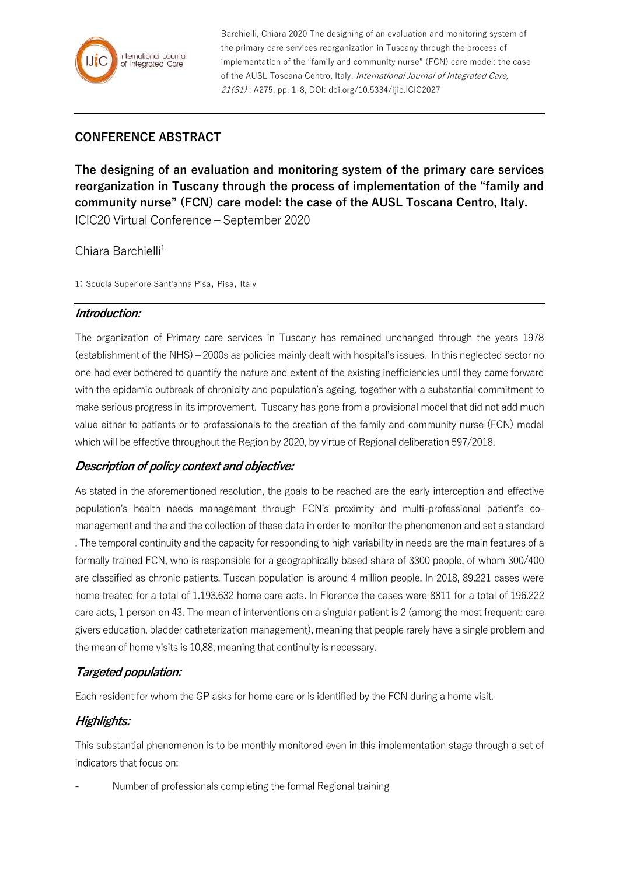

Barchielli, Chiara 2020 The designing of an evaluation and monitoring system of the primary care services reorganization in Tuscany through the process of implementation of the "family and community nurse" (FCN) care model: the case of the AUSL Toscana Centro, Italy. International Journal of Integrated Care, 21(S1): A275, pp. 1-8, DOI: doi.org/10.5334/ijic.ICIC2027

# **CONFERENCE ABSTRACT**

**The designing of an evaluation and monitoring system of the primary care services reorganization in Tuscany through the process of implementation of the "family and community nurse" (FCN) care model: the case of the AUSL Toscana Centro, Italy.** ICIC20 Virtual Conference – September 2020

## Chiara Barchielli<sup>1</sup>

1: Scuola Superiore Sant'anna Pisa, Pisa, Italy

#### **Introduction:**

The organization of Primary care services in Tuscany has remained unchanged through the years 1978 (establishment of the NHS) – 2000s as policies mainly dealt with hospital's issues. In this neglected sector no one had ever bothered to quantify the nature and extent of the existing inefficiencies until they came forward with the epidemic outbreak of chronicity and population's ageing, together with a substantial commitment to make serious progress in its improvement. Tuscany has gone from a provisional model that did not add much value either to patients or to professionals to the creation of the family and community nurse (FCN) model which will be effective throughout the Region by 2020, by virtue of Regional deliberation 597/2018.

## **Description of policy context and objective:**

As stated in the aforementioned resolution, the goals to be reached are the early interception and effective population's health needs management through FCN's proximity and multi-professional patient's comanagement and the and the collection of these data in order to monitor the phenomenon and set a standard . The temporal continuity and the capacity for responding to high variability in needs are the main features of a formally trained FCN, who is responsible for a geographically based share of 3300 people, of whom 300/400 are classified as chronic patients. Tuscan population is around 4 million people. In 2018, 89.221 cases were home treated for a total of 1.193.632 home care acts. In Florence the cases were 8811 for a total of 196.222 care acts, 1 person on 43. The mean of interventions on a singular patient is 2 (among the most frequent: care givers education, bladder catheterization management), meaning that people rarely have a single problem and the mean of home visits is 10,88, meaning that continuity is necessary.

## **Targeted population:**

Each resident for whom the GP asks for home care or is identified by the FCN during a home visit.

# **Highlights:**

This substantial phenomenon is to be monthly monitored even in this implementation stage through a set of indicators that focus on:

- Number of professionals completing the formal Regional training